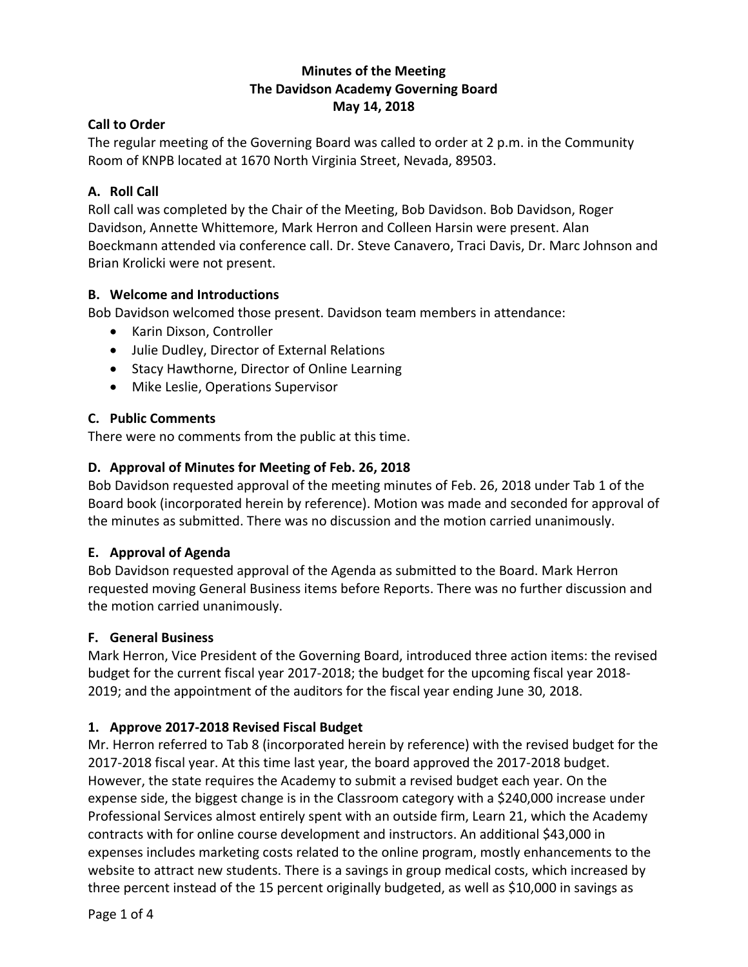## **Minutes of the Meeting The Davidson Academy Governing Board May 14, 2018**

## **Call to Order**

The regular meeting of the Governing Board was called to order at 2 p.m. in the Community Room of KNPB located at 1670 North Virginia Street, Nevada, 89503.

# **A. Roll Call**

Roll call was completed by the Chair of the Meeting, Bob Davidson. Bob Davidson, Roger Davidson, Annette Whittemore, Mark Herron and Colleen Harsin were present. Alan Boeckmann attended via conference call. Dr. Steve Canavero, Traci Davis, Dr. Marc Johnson and Brian Krolicki were not present.

# **B. Welcome and Introductions**

Bob Davidson welcomed those present. Davidson team members in attendance:

- Karin Dixson, Controller
- Julie Dudley, Director of External Relations
- Stacy Hawthorne, Director of Online Learning
- Mike Leslie, Operations Supervisor

# **C. Public Comments**

There were no comments from the public at this time.

## **D. Approval of Minutes for Meeting of Feb. 26, 2018**

Bob Davidson requested approval of the meeting minutes of Feb. 26, 2018 under Tab 1 of the Board book (incorporated herein by reference). Motion was made and seconded for approval of the minutes as submitted. There was no discussion and the motion carried unanimously.

## **E. Approval of Agenda**

Bob Davidson requested approval of the Agenda as submitted to the Board. Mark Herron requested moving General Business items before Reports. There was no further discussion and the motion carried unanimously.

## **F. General Business**

Mark Herron, Vice President of the Governing Board, introduced three action items: the revised budget for the current fiscal year 2017-2018; the budget for the upcoming fiscal year 2018- 2019; and the appointment of the auditors for the fiscal year ending June 30, 2018.

## **1. Approve 2017-2018 Revised Fiscal Budget**

Mr. Herron referred to Tab 8 (incorporated herein by reference) with the revised budget for the 2017-2018 fiscal year. At this time last year, the board approved the 2017-2018 budget. However, the state requires the Academy to submit a revised budget each year. On the expense side, the biggest change is in the Classroom category with a \$240,000 increase under Professional Services almost entirely spent with an outside firm, Learn 21, which the Academy contracts with for online course development and instructors. An additional \$43,000 in expenses includes marketing costs related to the online program, mostly enhancements to the website to attract new students. There is a savings in group medical costs, which increased by three percent instead of the 15 percent originally budgeted, as well as \$10,000 in savings as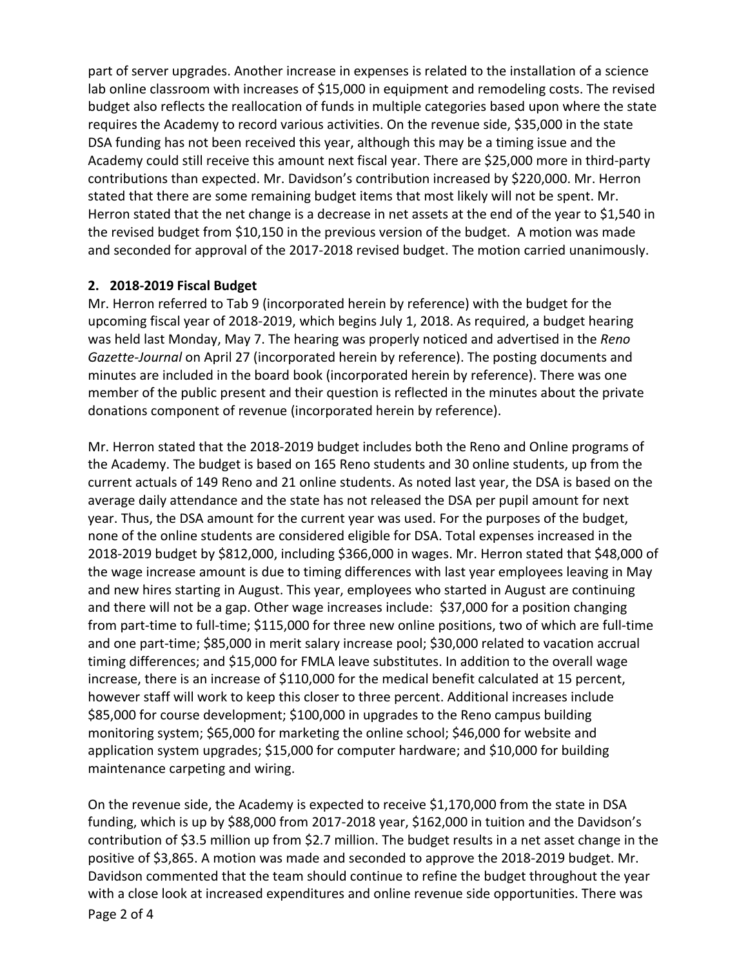part of server upgrades. Another increase in expenses is related to the installation of a science lab online classroom with increases of \$15,000 in equipment and remodeling costs. The revised budget also reflects the reallocation of funds in multiple categories based upon where the state requires the Academy to record various activities. On the revenue side, \$35,000 in the state DSA funding has not been received this year, although this may be a timing issue and the Academy could still receive this amount next fiscal year. There are \$25,000 more in third-party contributions than expected. Mr. Davidson's contribution increased by \$220,000. Mr. Herron stated that there are some remaining budget items that most likely will not be spent. Mr. Herron stated that the net change is a decrease in net assets at the end of the year to \$1,540 in the revised budget from \$10,150 in the previous version of the budget. A motion was made and seconded for approval of the 2017-2018 revised budget. The motion carried unanimously.

## **2. 2018-2019 Fiscal Budget**

Mr. Herron referred to Tab 9 (incorporated herein by reference) with the budget for the upcoming fiscal year of 2018-2019, which begins July 1, 2018. As required, a budget hearing was held last Monday, May 7. The hearing was properly noticed and advertised in the *Reno Gazette-Journal* on April 27 (incorporated herein by reference). The posting documents and minutes are included in the board book (incorporated herein by reference). There was one member of the public present and their question is reflected in the minutes about the private donations component of revenue (incorporated herein by reference).

Mr. Herron stated that the 2018-2019 budget includes both the Reno and Online programs of the Academy. The budget is based on 165 Reno students and 30 online students, up from the current actuals of 149 Reno and 21 online students. As noted last year, the DSA is based on the average daily attendance and the state has not released the DSA per pupil amount for next year. Thus, the DSA amount for the current year was used. For the purposes of the budget, none of the online students are considered eligible for DSA. Total expenses increased in the 2018-2019 budget by \$812,000, including \$366,000 in wages. Mr. Herron stated that \$48,000 of the wage increase amount is due to timing differences with last year employees leaving in May and new hires starting in August. This year, employees who started in August are continuing and there will not be a gap. Other wage increases include: \$37,000 for a position changing from part-time to full-time; \$115,000 for three new online positions, two of which are full-time and one part-time; \$85,000 in merit salary increase pool; \$30,000 related to vacation accrual timing differences; and \$15,000 for FMLA leave substitutes. In addition to the overall wage increase, there is an increase of \$110,000 for the medical benefit calculated at 15 percent, however staff will work to keep this closer to three percent. Additional increases include \$85,000 for course development; \$100,000 in upgrades to the Reno campus building monitoring system; \$65,000 for marketing the online school; \$46,000 for website and application system upgrades; \$15,000 for computer hardware; and \$10,000 for building maintenance carpeting and wiring.

On the revenue side, the Academy is expected to receive \$1,170,000 from the state in DSA funding, which is up by \$88,000 from 2017-2018 year, \$162,000 in tuition and the Davidson's contribution of \$3.5 million up from \$2.7 million. The budget results in a net asset change in the positive of \$3,865. A motion was made and seconded to approve the 2018-2019 budget. Mr. Davidson commented that the team should continue to refine the budget throughout the year with a close look at increased expenditures and online revenue side opportunities. There was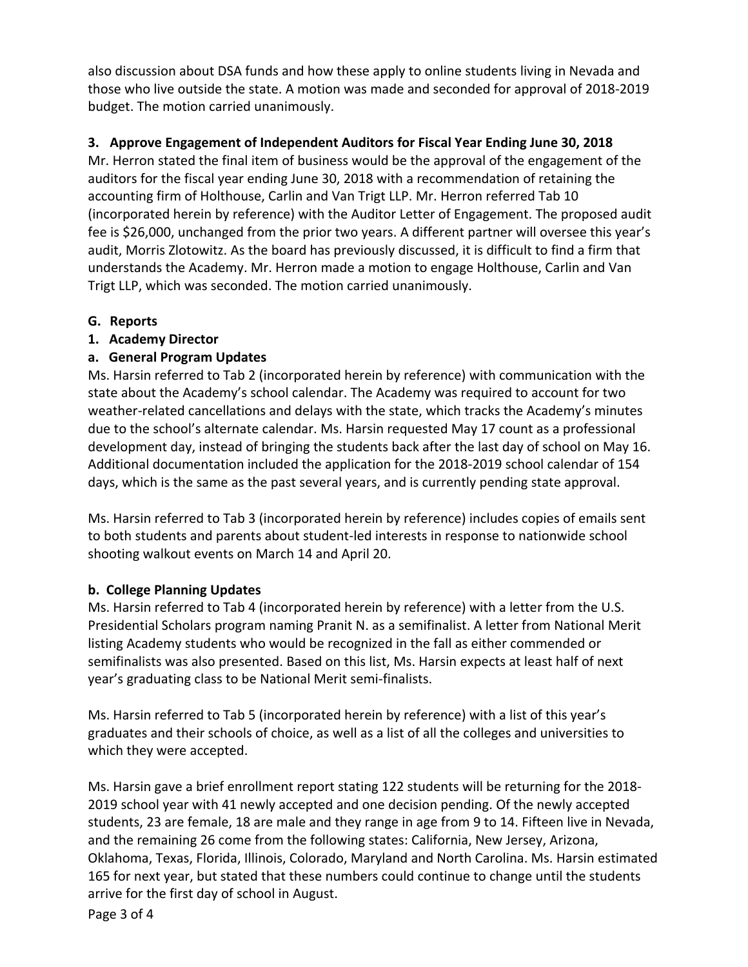also discussion about DSA funds and how these apply to online students living in Nevada and those who live outside the state. A motion was made and seconded for approval of 2018-2019 budget. The motion carried unanimously.

## **3. Approve Engagement of Independent Auditors for Fiscal Year Ending June 30, 2018**

Mr. Herron stated the final item of business would be the approval of the engagement of the auditors for the fiscal year ending June 30, 2018 with a recommendation of retaining the accounting firm of Holthouse, Carlin and Van Trigt LLP. Mr. Herron referred Tab 10 (incorporated herein by reference) with the Auditor Letter of Engagement. The proposed audit fee is \$26,000, unchanged from the prior two years. A different partner will oversee this year's audit, Morris Zlotowitz. As the board has previously discussed, it is difficult to find a firm that understands the Academy. Mr. Herron made a motion to engage Holthouse, Carlin and Van Trigt LLP, which was seconded. The motion carried unanimously.

## **G. Reports**

# **1. Academy Director**

# **a. General Program Updates**

Ms. Harsin referred to Tab 2 (incorporated herein by reference) with communication with the state about the Academy's school calendar. The Academy was required to account for two weather-related cancellations and delays with the state, which tracks the Academy's minutes due to the school's alternate calendar. Ms. Harsin requested May 17 count as a professional development day, instead of bringing the students back after the last day of school on May 16. Additional documentation included the application for the 2018-2019 school calendar of 154 days, which is the same as the past several years, and is currently pending state approval.

Ms. Harsin referred to Tab 3 (incorporated herein by reference) includes copies of emails sent to both students and parents about student-led interests in response to nationwide school shooting walkout events on March 14 and April 20.

# **b. College Planning Updates**

Ms. Harsin referred to Tab 4 (incorporated herein by reference) with a letter from the U.S. Presidential Scholars program naming Pranit N. as a semifinalist. A letter from National Merit listing Academy students who would be recognized in the fall as either commended or semifinalists was also presented. Based on this list, Ms. Harsin expects at least half of next year's graduating class to be National Merit semi-finalists.

Ms. Harsin referred to Tab 5 (incorporated herein by reference) with a list of this year's graduates and their schools of choice, as well as a list of all the colleges and universities to which they were accepted.

Ms. Harsin gave a brief enrollment report stating 122 students will be returning for the 2018- 2019 school year with 41 newly accepted and one decision pending. Of the newly accepted students, 23 are female, 18 are male and they range in age from 9 to 14. Fifteen live in Nevada, and the remaining 26 come from the following states: California, New Jersey, Arizona, Oklahoma, Texas, Florida, Illinois, Colorado, Maryland and North Carolina. Ms. Harsin estimated 165 for next year, but stated that these numbers could continue to change until the students arrive for the first day of school in August.